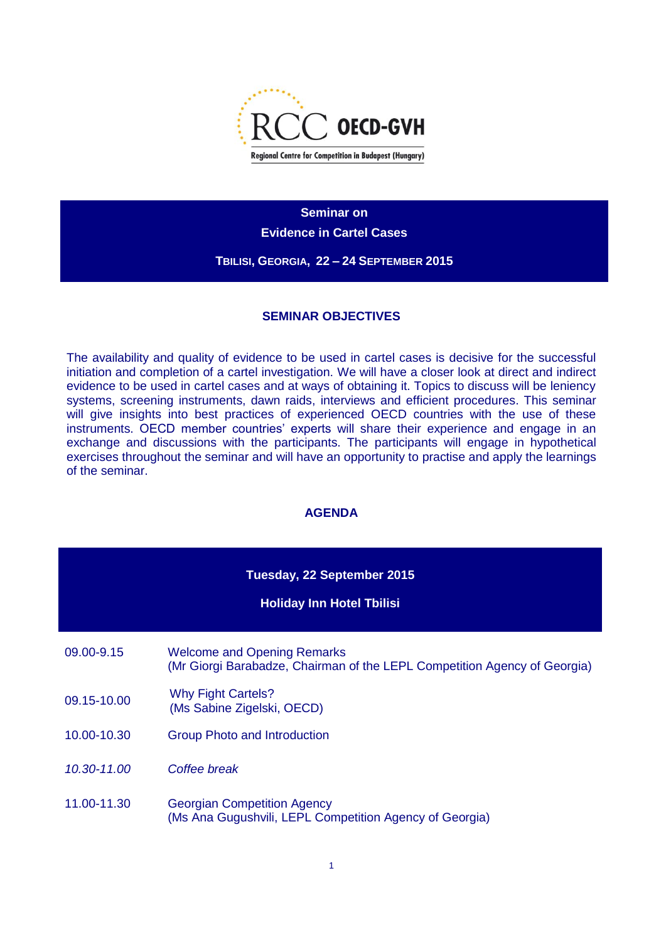

**Seminar on** 

**Evidence in Cartel Cases**

**TBILISI, GEORGIA, 22 – 24 SEPTEMBER 2015**

# **SEMINAR OBJECTIVES**

The availability and quality of evidence to be used in cartel cases is decisive for the successful initiation and completion of a cartel investigation. We will have a closer look at direct and indirect evidence to be used in cartel cases and at ways of obtaining it. Topics to discuss will be leniency systems, screening instruments, dawn raids, interviews and efficient procedures. This seminar will give insights into best practices of experienced OECD countries with the use of these instruments. OECD member countries' experts will share their experience and engage in an exchange and discussions with the participants. The participants will engage in hypothetical exercises throughout the seminar and will have an opportunity to practise and apply the learnings of the seminar.

### **AGENDA**

| Tuesday, 22 September 2015<br><b>Holiday Inn Hotel Tbilisi</b> |                                                                                                                 |  |
|----------------------------------------------------------------|-----------------------------------------------------------------------------------------------------------------|--|
| 09.00-9.15                                                     | <b>Welcome and Opening Remarks</b><br>(Mr Giorgi Barabadze, Chairman of the LEPL Competition Agency of Georgia) |  |
| 09.15-10.00                                                    | <b>Why Fight Cartels?</b><br>(Ms Sabine Zigelski, OECD)                                                         |  |
| 10.00-10.30                                                    | <b>Group Photo and Introduction</b>                                                                             |  |
| 10.30-11.00                                                    | Coffee break                                                                                                    |  |
| 11.00-11.30                                                    | <b>Georgian Competition Agency</b><br>(Ms Ana Gugushvili, LEPL Competition Agency of Georgia)                   |  |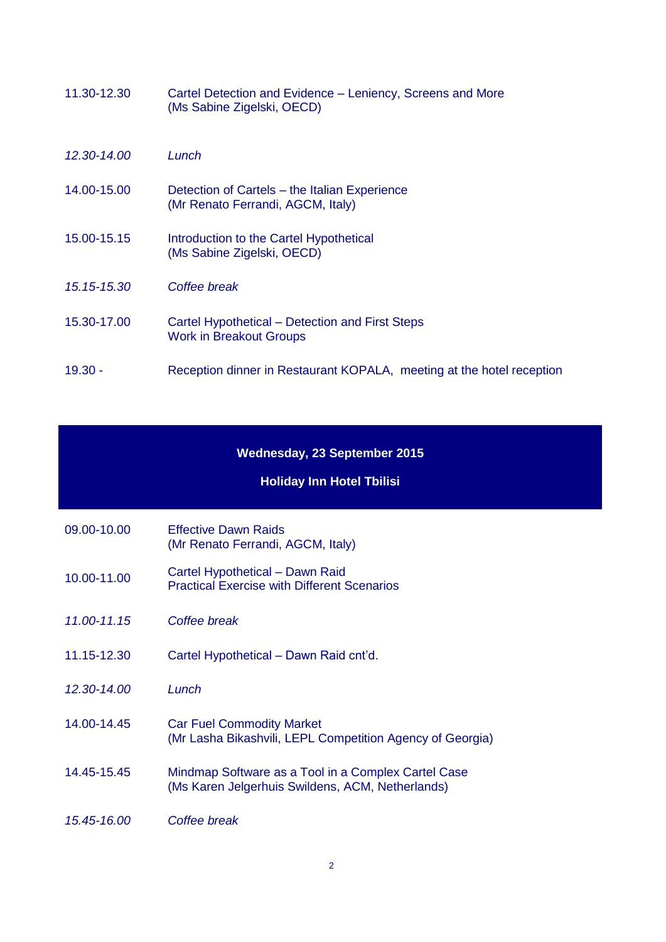| 11.30-12.30 | Cartel Detection and Evidence – Leniency, Screens and More<br>(Ms Sabine Zigelski, OECD) |
|-------------|------------------------------------------------------------------------------------------|
| 12.30-14.00 | Lunch                                                                                    |
| 14.00-15.00 | Detection of Cartels – the Italian Experience<br>(Mr Renato Ferrandi, AGCM, Italy)       |
| 15.00-15.15 | Introduction to the Cartel Hypothetical<br>(Ms Sabine Zigelski, OECD)                    |
| 15.15-15.30 | Coffee break                                                                             |
| 15.30-17.00 | Cartel Hypothetical – Detection and First Steps<br><b>Work in Breakout Groups</b>        |
| 19.30 -     | Reception dinner in Restaurant KOPALA, meeting at the hotel reception                    |

### **Wednesday, 23 September 2015**

#### **Holiday Inn Hotel Tbilisi**

- 09.00-10.00 Effective Dawn Raids (Mr Renato Ferrandi, AGCM, Italy)
- 10.00-11.00 Cartel Hypothetical Dawn Raid Practical Exercise with Different Scenarios
- *11.00-11.15 Coffee break*
- 11.15-12.30 Cartel Hypothetical Dawn Raid cnt'd.
- *12.30-14.00 Lunch*
- 14.00-14.45 Car Fuel Commodity Market (Mr Lasha Bikashvili, LEPL Competition Agency of Georgia)
- 14.45-15.45 Mindmap Software as a Tool in a Complex Cartel Case (Ms Karen Jelgerhuis Swildens, ACM, Netherlands)
- *15.45-16.00 Coffee break*